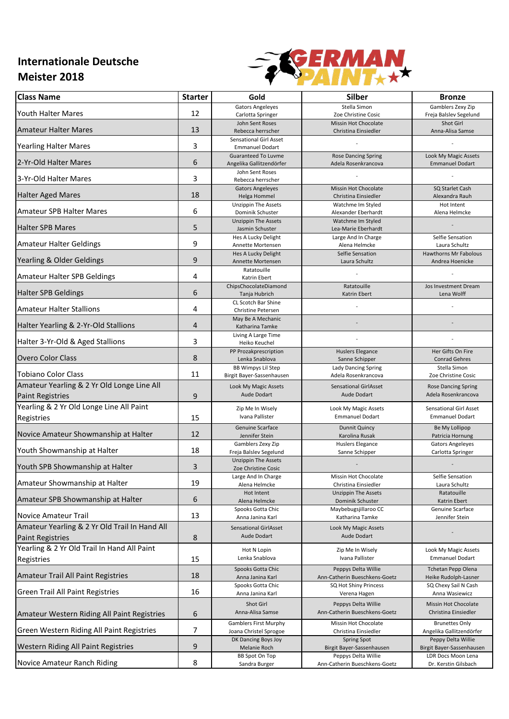## **Internationale Deutsche Meister 2018**



| <b>Class Name</b>                                                        | <b>Starter</b> | Gold                                                    | <b>Silber</b>                                            | <b>Bronze</b>                                                     |
|--------------------------------------------------------------------------|----------------|---------------------------------------------------------|----------------------------------------------------------|-------------------------------------------------------------------|
| <b>Youth Halter Mares</b>                                                | 12             | <b>Gators Angeleyes</b><br>Carlotta Springer            | Stella Simon<br>Zoe Christine Cosic                      | Gamblers Zexy Zip<br>Freja Balslev Segelund                       |
| <b>Amateur Halter Mares</b>                                              | 13             | John Sent Roses<br>Rebecca herrscher                    | <b>Missin Hot Chocolate</b><br>Christina Einsiedler      | Shot Girl<br>Anna-Alisa Samse                                     |
| <b>Yearling Halter Mares</b>                                             | 3              | <b>Sensational Girl Asset</b><br><b>Emmanuel Dodart</b> |                                                          |                                                                   |
| 2-Yr-Old Halter Mares                                                    | 6              | <b>Guaranteed To Luvme</b><br>Angelika Gallitzendörfer  | <b>Rose Dancing Spring</b><br>Adela Rosenkrancova        | Look My Magic Assets<br><b>Emmanuel Dodart</b>                    |
| 3-Yr-Old Halter Mares                                                    | 3              | John Sent Roses<br>Rebecca herrscher                    |                                                          |                                                                   |
| <b>Halter Aged Mares</b>                                                 | 18             | <b>Gators Angeleyes</b><br>Helga Hommel                 | <b>Missin Hot Chocolate</b><br>Christina Einsiedler      | SQ Starlet Cash<br>Alexandra Rauh                                 |
| <b>Amateur SPB Halter Mares</b>                                          | 6              | <b>Unzippin The Assets</b><br>Dominik Schuster          | Watchme Im Styled<br>Alexander Eberhardt                 | Hot Intent<br>Alena Helmcke                                       |
| <b>Halter SPB Mares</b>                                                  | 5              | <b>Unzippin The Assets</b><br>Jasmin Schuster           | Watchme Im Styled<br>Lea-Marie Eberhardt                 |                                                                   |
| <b>Amateur Halter Geldings</b>                                           | 9              | Hes A Lucky Delight<br>Annette Mortensen                | Large And In Charge<br>Alena Helmcke<br>Selfie Sensation | Selfie Sensation<br>Laura Schultz<br><b>Hawthorns Mr Fabolous</b> |
| Yearling & Older Geldings                                                | 9              | Hes A Lucky Delight<br>Annette Mortensen<br>Ratatouille | Laura Schultz                                            | Andrea Hoenicke                                                   |
| Amateur Halter SPB Geldings                                              | 4              | Katrin Ebert<br>ChipsChocolateDiamond                   | Ratatouille                                              | Jos Investment Dream                                              |
| <b>Halter SPB Geldings</b>                                               | 6              | Tanja Hubrich<br>CL Scotch Bar Shine                    | Katrin Ebert                                             | Lena Wolff                                                        |
| <b>Amateur Halter Stallions</b>                                          | 4              | Christine Petersen<br>May Be A Mechanic                 |                                                          |                                                                   |
| Halter Yearling & 2-Yr-Old Stallions                                     | 4              | Katharina Tamke<br>Living A Large Time                  |                                                          |                                                                   |
| Halter 3-Yr-Old & Aged Stallions                                         | 3              | Heiko Keuchel<br>PP Prozakprescription                  | <b>Huslers Elegance</b>                                  | Her Gifts On Fire                                                 |
| <b>Overo Color Class</b>                                                 | 8              | Lenka Snablova<br><b>BB Wimpys Lil Step</b>             | Sanne Schipper<br><b>Lady Dancing Spring</b>             | <b>Conrad Gehres</b><br>Stella Simon                              |
| <b>Tobiano Color Class</b>                                               | 11             | Birgit Bayer-Sassenhausen                               | Adela Rosenkrancova                                      | Zoe Christine Cosic                                               |
| Amateur Yearling & 2 Yr Old Longe Line All<br><b>Paint Registries</b>    | 9              | Look My Magic Assets<br><b>Aude Dodart</b>              | <b>Sensational GirlAsset</b><br>Aude Dodart              | <b>Rose Dancing Spring</b><br>Adela Rosenkrancova                 |
| Yearling & 2 Yr Old Longe Line All Paint<br>Registries                   | 15             | Zip Me In Wisely<br>Ivana Pallister                     | Look My Magic Assets<br><b>Emmanuel Dodart</b>           | <b>Sensational Girl Asset</b><br><b>Emmanuel Dodart</b>           |
| Novice Amateur Showmanship at Halter                                     | 12             | Genuine Scarface<br>Jennifer Stein                      | <b>Dunnit Quincy</b><br>Karolina Rusak                   | Be My Lollipop<br>Patricia Hornung                                |
| Youth Showmanship at Halter                                              | 18             | Gamblers Zexy Zip<br>Freja Balslev Segelund             | <b>Huslers Elegance</b><br>Sanne Schipper                | <b>Gators Angeleyes</b><br>Carlotta Springer                      |
| Youth SPB Showmanship at Halter                                          | 3              | <b>Unzippin The Assets</b><br>Zoe Christine Cosic       |                                                          |                                                                   |
| Amateur Showmanship at Halter                                            | 19             | Large And In Charge<br>Alena Helmcke                    | Missin Hot Chocolate<br>Christina Einsiedler             | Selfie Sensation<br>Laura Schultz                                 |
| Amateur SPB Showmanship at Halter                                        | 6              | Hot Intent<br>Alena Helmcke                             | <b>Unzippin The Assets</b><br>Dominik Schuster           | Ratatouille<br>Katrin Ebert                                       |
| <b>Novice Amateur Trail</b>                                              | 13             | Spooks Gotta Chic<br>Anna Janina Karl                   | Maybebugsjillaroo CC<br>Katharina Tamke                  | Genuine Scarface<br>Jennifer Stein                                |
| Amateur Yearling & 2 Yr Old Trail In Hand All<br><b>Paint Registries</b> | 8              | <b>Sensational GirlAsset</b><br>Aude Dodart             | Look My Magic Assets<br>Aude Dodart                      |                                                                   |
| Yearling & 2 Yr Old Trail In Hand All Paint<br>Registries                | 15             | Hot N Lopin<br>Lenka Snablova                           | Zip Me In Wisely<br>Ivana Pallister                      | Look My Magic Assets<br><b>Emmanuel Dodart</b>                    |
| Amateur Trail All Paint Registries                                       | 18             | Spooks Gotta Chic<br>Anna Janina Karl                   | Peppys Delta Willie<br>Ann-Catherin Bueschkens-Goetz     | <b>Tchetan Pepp Olena</b><br>Heike Rudolph-Lasner                 |
| <b>Green Trail All Paint Registries</b>                                  | 16             | Spooks Gotta Chic<br>Anna Janina Karl                   | SQ Hot Shiny Princess<br>Verena Hagen                    | SQ Chexy Sail N Cash<br>Anna Wasiewicz                            |
| Amateur Western Riding All Paint Registries                              | 6              | Shot Girl<br>Anna-Alisa Samse                           | Peppys Delta Willie<br>Ann-Catherin Bueschkens-Goetz     | Missin Hot Chocolate<br>Christina Einsiedler                      |
| Green Western Riding All Paint Registries                                | 7              | <b>Gamblers First Murphy</b><br>Joana Christel Sprogoe  | Missin Hot Chocolate<br>Christina Einsiedler             | <b>Brunettes Only</b><br>Angelika Gallitzendörfer                 |
| Western Riding All Paint Registries                                      | 9              | DK Dancing Boys Joy<br>Melanie Roch                     | <b>Spring Spot</b><br>Birgit Bayer-Sassenhausen          | Peppy Delta Willie<br>Birgit Bayer-Sassenhausen                   |
| Novice Amateur Ranch Riding                                              | 8              | BB Spot On Top<br>Sandra Burger                         | Peppys Delta Willie<br>Ann-Catherin Bueschkens-Goetz     | LDR Docs Moon Lena<br>Dr. Kerstin Gilsbach                        |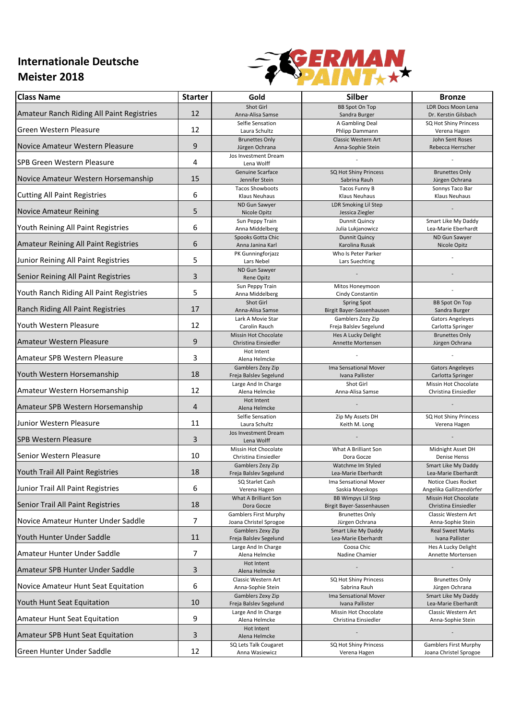## **Internationale Deutsche Meister 2018**



| <b>Class Name</b>                         | <b>Starter</b> | Gold                                                   | Silber                                                 | <b>Bronze</b>                                          |
|-------------------------------------------|----------------|--------------------------------------------------------|--------------------------------------------------------|--------------------------------------------------------|
| Amateur Ranch Riding All Paint Registries | 12             | Shot Girl<br>Anna-Alisa Samse                          | <b>BB Spot On Top</b><br>Sandra Burger                 | <b>LDR Docs Moon Lena</b><br>Dr. Kerstin Gilsbach      |
| Green Western Pleasure                    | 12             | Selfie Sensation<br>Laura Schultz                      | A Gambling Deal<br>Phlipp Dammann                      | SQ Hot Shiny Princess<br>Verena Hagen                  |
| Novice Amateur Western Pleasure           | 9              | <b>Brunettes Only</b><br>Jürgen Ochrana                | Classic Western Art<br>Anna-Sophie Stein               | John Sent Roses<br>Rebecca Herrscher                   |
| <b>SPB Green Western Pleasure</b>         | 4              | Jos Investment Dream<br>Lena Wolff                     |                                                        |                                                        |
| Novice Amateur Western Horsemanship       | 15             | Genuine Scarface<br>Jennifer Stein                     | SQ Hot Shiny Princess<br>Sabrina Rauh                  | <b>Brunettes Only</b><br>Jürgen Ochrana                |
| <b>Cutting All Paint Registries</b>       | 6              | <b>Tacos Showboots</b><br>Klaus Neuhaus                | Tacos Funny B<br><b>Klaus Neuhaus</b>                  | Sonnys Taco Bar<br><b>Klaus Neuhaus</b>                |
| <b>Novice Amateur Reining</b>             | 5              | ND Gun Sawyer<br>Nicole Opitz                          | <b>LDR Smoking Lil Step</b><br>Jessica Ziegler         |                                                        |
| Youth Reining All Paint Registries        | 6              | Sun Peppy Train<br>Anna Middelberg                     | Dunnit Quincy<br>Julia Lukjanowicz                     | Smart Like My Daddy<br>Lea-Marie Eberhardt             |
| Amateur Reining All Paint Registries      | 6              | Spooks Gotta Chic<br>Anna Janina Karl                  | <b>Dunnit Quincy</b><br>Karolina Rusak                 | ND Gun Sawyer<br>Nicole Opitz                          |
| Junior Reining All Paint Registries       | 5              | PK Gunningforjazz<br>Lars Nebel                        | Who Is Peter Parker<br>Lars Suechting                  |                                                        |
| Senior Reining All Paint Registries       | 3              | ND Gun Sawyer<br>Rene Opitz                            |                                                        |                                                        |
| Youth Ranch Riding All Paint Registries   | 5              | Sun Peppy Train<br>Anna Middelberg                     | Mitos Honeymoon<br>Cindy Constantin                    |                                                        |
| Ranch Riding All Paint Registries         | 17             | Shot Girl<br>Anna-Alisa Samse                          | <b>Spring Spot</b><br>Birgit Bayer-Sassenhausen        | <b>BB Spot On Top</b><br>Sandra Burger                 |
| Youth Western Pleasure                    | 12             | Lark A Movie Star<br>Carolin Rauch                     | Gamblers Zezy Zip<br>Freja Balslev Segelund            | <b>Gators Angeleyes</b><br>Carlotta Springer           |
| Amateur Western Pleasure                  | 9              | <b>Missin Hot Chocolate</b><br>Christina Einsiedler    | Hes A Lucky Delight<br>Annette Mortensen               | <b>Brunettes Only</b><br>Jürgen Ochrana                |
| Amateur SPB Western Pleasure              | 3              | Hot Intent<br>Alena Helmcke                            |                                                        |                                                        |
| Youth Western Horsemanship                | 18             | Gamblers Zezy Zip<br>Freja Balslev Segelund            | Ima Sensational Mover<br>Ivana Pallister               | <b>Gators Angeleyes</b><br>Carlotta Springer           |
| Amateur Western Horsemanship              | 12             | Large And In Charge<br>Alena Helmcke                   | Shot Girl<br>Anna-Alisa Samse                          | Missin Hot Chocolate<br>Christina Einsiedler           |
| Amateur SPB Western Horsemanship          | $\overline{4}$ | Hot Intent<br>Alena Helmcke                            |                                                        |                                                        |
| Junior Western Pleasure                   | 11             | Selfie Sensation<br>Laura Schultz                      | Zip My Assets DH<br>Keith M. Long                      | SQ Hot Shiny Princess<br>Verena Hagen                  |
| <b>SPB Western Pleasure</b>               | 3              | Jos Investment Dream<br>Lena Wolff                     |                                                        |                                                        |
| Senior Western Pleasure                   | 10             | Missin Hot Chocolate<br>Christina Einsiedler           | What A Brilliant Son<br>Dora Gocze                     | Midnight Asset DH<br><b>Denise Henss</b>               |
| Youth Trail All Paint Registries          | 18             | Gamblers Zezy Zip<br>Freja Balslev Segelund            | Watchme Im Styled<br>Lea-Marie Eberhardt               | Smart Like My Daddy<br>Lea-Marie Eberhardt             |
| Junior Trail All Paint Registries         | 6              | SQ Starlet Cash<br>Verena Hagen                        | Ima Sensational Mover<br>Saskia Moeskops               | Notice Clues Rocket<br>Angelika Gallitzendörfer        |
| Senior Trail All Paint Registries         | 18             | What A Brilliant Son<br>Dora Gocze                     | <b>BB Wimpys Lil Step</b><br>Birgit Bayer-Sassenhausen | Missin Hot Chocolate<br>Christina Einsiedler           |
| Novice Amateur Hunter Under Saddle        | 7              | <b>Gamblers First Murphy</b><br>Joana Christel Sprogoe | <b>Brunettes Only</b><br>Jürgen Ochrana                | Classic Western Art<br>Anna-Sophie Stein               |
| Youth Hunter Under Saddle                 | 11             | <b>Gamblers Zexy Zip</b><br>Freja Balslev Segelund     | Smart Like My Daddy<br>Lea-Marie Eberhardt             | <b>Real Sweet Marks</b><br>Ivana Pallister             |
| Amateur Hunter Under Saddle               | 7              | Large And In Charge<br>Alena Helmcke                   | Coosa Chic<br>Nadine Chamier                           | Hes A Lucky Delight<br>Annette Mortensen               |
| Amateur SPB Hunter Under Saddle           | 3              | Hot Intent<br>Alena Helmcke                            |                                                        |                                                        |
| Novice Amateur Hunt Seat Equitation       | 6              | Classic Western Art<br>Anna-Sophie Stein               | SQ Hot Shiny Princess<br>Sabrina Rauh                  | <b>Brunettes Only</b><br>Jürgen Ochrana                |
| Youth Hunt Seat Equitation                | 10             | Gamblers Zexy Zip<br>Freja Balslev Segelund            | Ima Sensational Mover<br>Ivana Pallister               | Smart Like My Daddy<br>Lea-Marie Eberhardt             |
| Amateur Hunt Seat Equitation              | 9              | Large And In Charge<br>Alena Helmcke                   | Missin Hot Chocolate<br>Christina Einsiedler           | Classic Western Art<br>Anna-Sophie Stein               |
| <b>Amateur SPB Hunt Seat Equitation</b>   | 3              | Hot Intent<br>Alena Helmcke                            |                                                        |                                                        |
| Green Hunter Under Saddle                 | 12             | SQ Lets Talk Cougaret<br>Anna Wasiewicz                | SQ Hot Shiny Princess<br>Verena Hagen                  | <b>Gamblers First Murphy</b><br>Joana Christel Sprogoe |